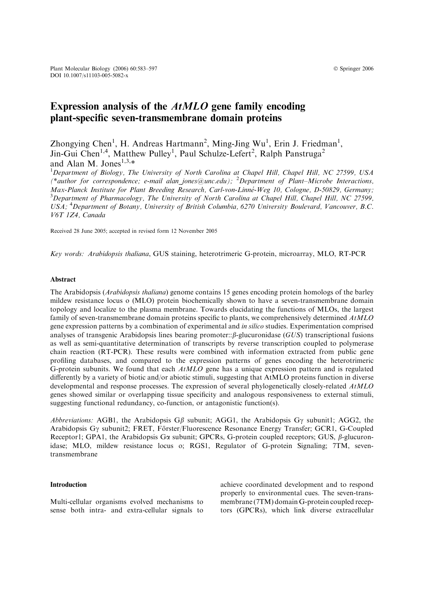# Expression analysis of the AtMLO gene family encoding plant-specific seven-transmembrane domain proteins

Zhongying Chen<sup>1</sup>, H. Andreas Hartmann<sup>2</sup>, Ming-Jing Wu<sup>1</sup>, Erin J. Friedman<sup>1</sup>, Jin-Gui Chen<sup>1,4</sup>, Matthew Pulley<sup>1</sup>, Paul Schulze-Lefert<sup>2</sup>, Ralph Panstruga<sup>2</sup> and Alan M. Jones<sup>1,3, $*$ </sup>

<sup>1</sup>Department of Biology, The University of North Carolina at Chapel Hill, Chapel Hill, NC 27599, USA (\*author for correspondence; e-mail alan\_jones@unc.edu); <sup>2</sup> Department of Plant–Microbe Interactions, Max-Planck Institute for Plant Breeding Research, Carl-von-Linné-Weg 10, Cologne, D-50829, Germany; <sup>3</sup>Department of Pharmacology, The University of North Carolina at Chapel Hill, Chapel Hill, NC 27599, USA; <sup>4</sup>Department of Botany, University of British Columbia, 6270 University Boulevard, Vancouver, B.C. V6T 1Z4, Canada

Received 28 June 2005; accepted in revised form 12 November 2005

Key words: Arabidopsis thaliana, GUS staining, heterotrimeric G-protein, microarray, MLO, RT-PCR

#### Abstract

The Arabidopsis (Arabidopsis thaliana) genome contains 15 genes encoding protein homologs of the barley mildew resistance locus o (MLO) protein biochemically shown to have a seven-transmembrane domain topology and localize to the plasma membrane. Towards elucidating the functions of MLOs, the largest family of seven-transmembrane domain proteins specific to plants, we comprehensively determined  $AtMLO$ gene expression patterns by a combination of experimental and in silico studies. Experimentation comprised analyses of transgenic Arabidopsis lines bearing promoter:: $\beta$ -glucuronidase (GUS) transcriptional fusions as well as semi-quantitative determination of transcripts by reverse transcription coupled to polymerase chain reaction (RT-PCR). These results were combined with information extracted from public gene profiling databases, and compared to the expression patterns of genes encoding the heterotrimeric G-protein subunits. We found that each  $AtMLO$  gene has a unique expression pattern and is regulated differently by a variety of biotic and/or abiotic stimuli, suggesting that AtMLO proteins function in diverse developmental and response processes. The expression of several phylogenetically closely-related  $AtMLO$ genes showed similar or overlapping tissue specificity and analogous responsiveness to external stimuli, suggesting functional redundancy, co-function, or antagonistic function(s).

Abbreviations: AGB1, the Arabidopsis G $\beta$  subunit; AGG1, the Arabidopsis G $\gamma$  subunit1; AGG2, the Arabidopsis G $\gamma$  subunit2; FRET, Förster/Fluorescence Resonance Energy Transfer; GCR1, G-Coupled Receptor1; GPA1, the Arabidopsis G $\alpha$  subunit; GPCRs, G-protein coupled receptors; GUS,  $\beta$ -glucuronidase; MLO, mildew resistance locus o; RGS1, Regulator of G-protein Signaling; 7TM, seventransmembrane

### Introduction

Multi-cellular organisms evolved mechanisms to sense both intra- and extra-cellular signals to

achieve coordinated development and to respond properly to environmental cues. The seven-transmembrane (7TM) domain G-protein coupled receptors (GPCRs), which link diverse extracellular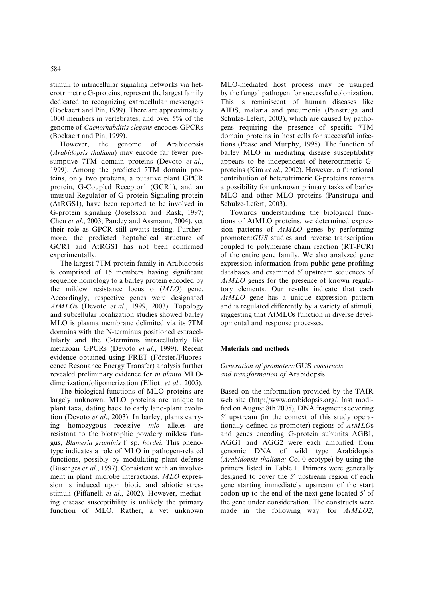stimuli to intracellular signaling networks via heterotrimetric G-proteins, represent the largest family dedicated to recognizing extracellular messengers (Bockaert and Pin, 1999). There are approximately 1000 members in vertebrates, and over 5% of the genome of Caenorhabditis elegans encodes GPCRs (Bockaert and Pin, 1999).

However, the genome of Arabidopsis (Arabidopsis thaliana) may encode far fewer presumptive 7TM domain proteins (Devoto et al., 1999). Among the predicted 7TM domain proteins, only two proteins, a putative plant GPCR protein, G-Coupled Receptor1 (GCR1), and an unusual Regulator of G-protein Signaling protein (AtRGS1), have been reported to be involved in G-protein signaling (Josefsson and Rask, 1997; Chen et al., 2003; Pandey and Assmann, 2004), yet their role as GPCR still awaits testing. Furthermore, the predicted heptahelical structure of GCR1 and AtRGS1 has not been confirmed experimentally.

The largest 7TM protein family in Arabidopsis is comprised of 15 members having significant sequence homology to a barley protein encoded by the mildew resistance locus o (MLO) gene. Accordingly, respective genes were designated AtMLOs (Devoto et al., 1999, 2003). Topology and subcellular localization studies showed barley MLO is plasma membrane delimited via its 7TM domains with the N-terminus positioned extracellularly and the C-terminus intracellularly like metazoan GPCRs (Devoto et al., 1999). Recent evidence obtained using FRET (Förster/Fluorescence Resonance Energy Transfer) analysis further revealed preliminary evidence for in planta MLOdimerization/oligomerization (Elliott et al., 2005).

The biological functions of MLO proteins are largely unknown. MLO proteins are unique to plant taxa, dating back to early land-plant evolution (Devoto et al., 2003). In barley, plants carrying homozygous recessive mlo alleles are resistant to the biotrophic powdery mildew fungus, Blumeria graminis f. sp. hordei. This phenotype indicates a role of MLO in pathogen-related functions, possibly by modulating plant defense (Büschges *et al.*, 1997). Consistent with an involvement in plant–microbe interactions, MLO expression is induced upon biotic and abiotic stress stimuli (Piffanelli et al., 2002). However, mediating disease susceptibility is unlikely the primary function of MLO. Rather, a yet unknown MLO-mediated host process may be usurped by the fungal pathogen for successful colonization. This is reminiscent of human diseases like AIDS, malaria and pneumonia (Panstruga and Schulze-Lefert, 2003), which are caused by pathogens requiring the presence of specific 7TM domain proteins in host cells for successful infections (Pease and Murphy, 1998). The function of barley MLO in mediating disease susceptibility appears to be independent of heterotrimeric Gproteins (Kim et al., 2002). However, a functional contribution of heterotrimeric G-proteins remains a possibility for unknown primary tasks of barley MLO and other MLO proteins (Panstruga and Schulze-Lefert, 2003).

Towards understanding the biological functions of AtMLO proteins, we determined expression patterns of AtMLO genes by performing promoter::GUS studies and reverse transcription coupled to polymerase chain reaction (RT-PCR) of the entire gene family. We also analyzed gene expression information from public gene profiling databases and examined 5' upstream sequences of AtMLO genes for the presence of known regulatory elements. Our results indicate that each AtMLO gene has a unique expression pattern and is regulated differently by a variety of stimuli, suggesting that AtMLOs function in diverse developmental and response processes.

## Materials and methods

### Generation of promoter::GUS constructs and transformation of Arabidopsis

Based on the information provided by the TAIR web site (http://www.arabidopsis.org/, last modified on August 8th 2005), DNA fragments covering 5' upstream (in the context of this study operationally defined as promoter) regions of AtMLOs and genes encoding G-protein subunits AGB1, AGG1 and AGG2 were each amplified from genomic DNA of wild type Arabidopsis (Arabidopsis thaliana; Col-0 ecotype) by using the primers listed in Table 1. Primers were generally designed to cover the 5' upstream region of each gene starting immediately upstream of the start codon up to the end of the next gene located 5' of the gene under consideration. The constructs were made in the following way: for  $AtMLO2$ ,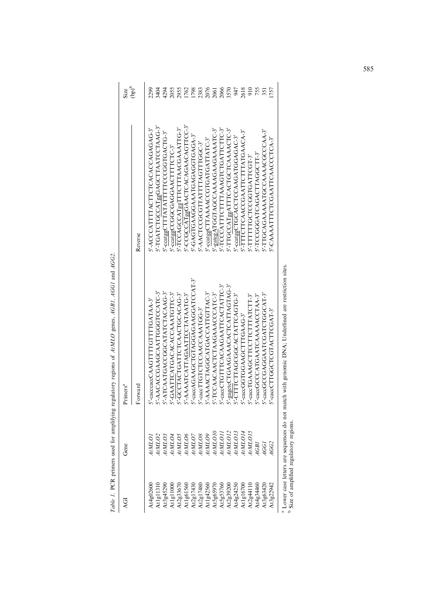| ৃত                            | Gene                                       | Primers <sup>a</sup>                                    |                                    | Size                                |
|-------------------------------|--------------------------------------------|---------------------------------------------------------|------------------------------------|-------------------------------------|
|                               |                                            | Forward                                                 | Reverse                            | $\left(\text{dp}\right)^{\text{b}}$ |
| At4g02600                     | AtMLO.                                     | '-cacccacCAAGTTTGTTTGATAA-3'                            | S'-ACCCATTTTACTTCACACCAGAGAG-3'    | 299                                 |
| At $1g11310$                  | AtMLO2                                     | '-AACACGAAGCAATTGGTCCATC-3'                             | 5'-TGATCTGCCATggGAGCTTAATCCTAAG-3' | 3404                                |
| A13g45290                     | AtMLO3                                     | ATCAATGACCGCATATCTACAAG-3'                              | 5'-ccatggCTTTATATTTTCCCGGTGACTG-3' | 4294                                |
| At $1g11000$                  | AtMLO4                                     | -GAATTCATGACACAAAATGTTC-3'                              | 5'-ccatggCCGGCGAGGAACTTTCTC-3'     | 2055                                |
| $\Delta t2g33670$             | <i>AtMLO5</i>                              | -GCCTACTGATTCTAACTGCACAG-3'                             | 5'-TCCAGCCATggTTTCTTTAACGAAATTG-3  | 2955                                |
| At1g61560                     | AtMLO6                                     | AAAATCATTAGAATTCCTATAATG-3'                             | 5'-CCGCCATggGAACTCACAGAACAGTTCC-3' | 1762                                |
| $\Delta t 2g17430$            | AtMLO7                                     | -caccAGAAGCTGTAGGAAGGATCCAT-3'                          | S-GAGGOGOGAGAAGGAAGGAGAGA          | 1798                                |
| At2g17480                     | AtMLOS                                     | -caccTTGTCCCAACCAAATGG-3'                               | 5'-AACTCCGCGTTATTTAGTTTGGC-3'      | 2383                                |
| At1g42560                     | AtMLO9                                     | '-AAAACTAGGCATGACCATTGTTAC-3'                           | 5'-ccatggCTTAAAACCGTGATGATTATC-3'  | 2076                                |
| At5g65970                     | <i>AtMLO10</i>                             | '-TCCAACAACTCTAAGAAACCCATC-3'                           | 5'-gatcgATGGTAGCCAAAAGAAGAAAATC-3' | 2061                                |
| $\mathrm{At}5\mathrm{g}53760$ | AtMLO1.                                    | '-caccTGTTTCACAAGAATTCACTATTC-3'                        | 5'-TCCCATTTCTTTAAAGTCTGATTCTTC-3   | 2066                                |
| $\Delta t 2g39200$            | <i>AtMLO12</i>                             | -gagctCTGAAGAAACACTCATTAGTAG-3'                         | 5'-TTGCCATggATTTCACTGCTCAAAACTC-3' | 3570                                |
| At4g24250                     | <i>AtMLO13</i>                             | CTTTCTTAGCGGCACTATTCAGTG-3'                             | S'-ccatggCTGCACCTCCAAGATGGAGAC-3'  | 947                                 |
| At1g16700                     | 4tMLO14                                    | -caccGGTGGAAGCTTTGAAG-3'                                | S'-TTTCTTCAACCGAATTCTTTATGAACA-3'  | 2618                                |
| At2g44110                     | 4tMLO15                                    | '-caccTGAAAGCTTCCTTCTTTATCTT-3'                         | S-TITTTTTGCCGGTGATTCGT-3           | 910                                 |
| At4g34460                     | AGBI                                       | '-caccGCCCATGAATCAAAAACCTAA-3'                          | S-TCCGGGATCAGACTTAGGCTT-3          | 755                                 |
| At3g63420                     | <b>AGGI</b>                                | -caccGCGAGGAATCGATCTGGCAT-3'                            | S'-TTGCAGAAAATGCCAAACGCCCAA-3'     | 351                                 |
| At3g22942                     | 4GG2                                       | -caccTTGGCTCGTACTTCGAT-3'                               | S'-CAAAATTTCTCGAATTCAACCCTCA-3     | 1757                                |
|                               | Lower case letters are sequences do not ma | tch with genomic DNA; Underlined are restriction sites. |                                    |                                     |

Table 1. PCR primers used for amplifying regulatory regions of AtMLO genes, AGB1, AGG1 and AGG2. Table 1. PCR primers used for amplifying regulatory regions of AtMLO genes, AGB1, AGG1 and AGG2.

Size of amplified regulatory regions.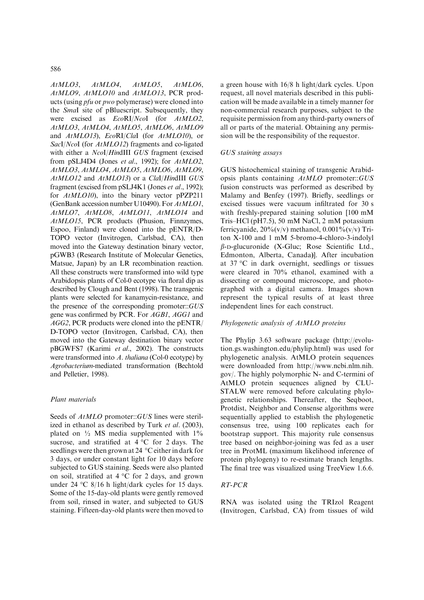AtMLO3, AtMLO4, AtMLO5, AtMLO6, AtMLO9, AtMLO10 and AtMLO13, PCR products (using pfu or pwo polymerase) were cloned into the SmaI site of pBluescript. Subsequently, they were excised as  $EcoRI/NcoI$  (for  $AtMLO2$ , AtMLO3, AtMLO4, AtMLO5, AtMLO6, AtMLO9 and AtMLO13), EcoRI/ClaI (for AtMLO10), or SacI/NcoI (for AtMLO12) fragments and co-ligated with either a NcoI/HindIII GUS fragment (excised from pSLJ4D4 (Jones et al., 1992); for AtMLO2, AtMLO3, AtMLO4, AtMLO5, AtMLO6, AtMLO9, AtMLO12 and AtMLO13) or a ClaI/HindIII GUS fragment (excised from pSLJ4K1 (Jones et al., 1992); for *AtMLO10*), into the binary vector pPZP211 (GenBank accession number U10490). For AtMLO1, AtMLO7, AtMLO8, AtMLO11, AtMLO14 and AtMLO15, PCR products (Phusion, Finnzymes, Espoo, Finland) were cloned into the pENTR/D-TOPO vector (Invitrogen, Carlsbad, CA), then moved into the Gateway destination binary vector, pGWB3 (Research Institute of Molecular Genetics, Matsue, Japan) by an LR recombination reaction. All these constructs were transformed into wild type Arabidopsis plants of Col-0 ecotype via floral dip as described by Clough and Bent (1998). The transgenic plants were selected for kanamycin-resistance, and the presence of the corresponding promoter::GUS gene was confirmed by PCR. For AGB1, AGG1 and AGG2, PCR products were cloned into the pENTR/ D-TOPO vector (Invitrogen, Carlsbad, CA), then moved into the Gateway destination binary vector pBGWFS7 (Karimi et al., 2002). The constructs were transformed into A. thaliana (Col-0 ecotype) by Agrobacterium-mediated transformation (Bechtold and Pelletier, 1998).

### Plant materials

Seeds of  $AtMLO$  promoter::GUS lines were sterilized in ethanol as described by Turk et al. (2003), plated on  $\frac{1}{2}$  MS media supplemented with  $1\%$ sucrose, and stratified at  $4^{\circ}$ C for 2 days. The seedlings were then grown at 24  $^{\circ}$ C either in dark for 3 days, or under constant light for 10 days before subjected to GUS staining. Seeds were also planted on soil, stratified at  $4^{\circ}$ C for 2 days, and grown under 24 °C 8/16 h light/dark cycles for 15 days. Some of the 15-day-old plants were gently removed from soil, rinsed in water, and subjected to GUS staining. Fifteen-day-old plants were then moved to a green house with 16/8 h light/dark cycles. Upon request, all novel materials described in this publication will be made available in a timely manner for non-commercial research purposes, subject to the requisite permission from any third-party owners of all or parts of the material. Obtaining any permission will be the responsibility of the requestor.

# GUS staining assays

GUS histochemical staining of transgenic Arabidopsis plants containing AtMLO promoter::GUS fusion constructs was performed as described by Malamy and Benfey (1997). Briefly, seedlings or excised tissues were vacuum infiltrated for 30 s with freshly-prepared staining solution [100 mM Tris–HCl (pH7.5), 50 mM NaCl, 2 mM potassium ferricyanide,  $20\%$ (v/v) methanol,  $0.001\%$ (v/v) Triton X-100 and 1 mM 5-bromo-4-chloro-3-indolyl  $\beta$ -D-glucuronide (X-Gluc; Rose Scientific Ltd., Edmonton, Alberta, Canada)]. After incubation at 37  $\mathrm{C}$  in dark overnight, seedlings or tissues were cleared in 70% ethanol, examined with a dissecting or compound microscope, and photographed with a digital camera. Images shown represent the typical results of at least three independent lines for each construct.

# Phylogenetic analysis of AtMLO proteins

The Phylip 3.63 software package (http://evolution.gs.washington.edu/phylip.html) was used for phylogenetic analysis. AtMLO protein sequences were downloaded from http://www.ncbi.nlm.nih. gov/. The highly polymorphic N- and C-termini of AtMLO protein sequences aligned by CLU-STALW were removed before calculating phylogenetic relationships. Thereafter, the Seqboot, Protdist, Neighbor and Consense algorithms were sequentially applied to establish the phylogenetic consensus tree, using 100 replicates each for bootstrap support. This majority rule consensus tree based on neighbor-joining was fed as a user tree in ProtML (maximum likelihood inference of protein phylogeny) to re-estimate branch lengths. The final tree was visualized using TreeView 1.6.6.

# RT-PCR

RNA was isolated using the TRIzol Reagent (Invitrogen, Carlsbad, CA) from tissues of wild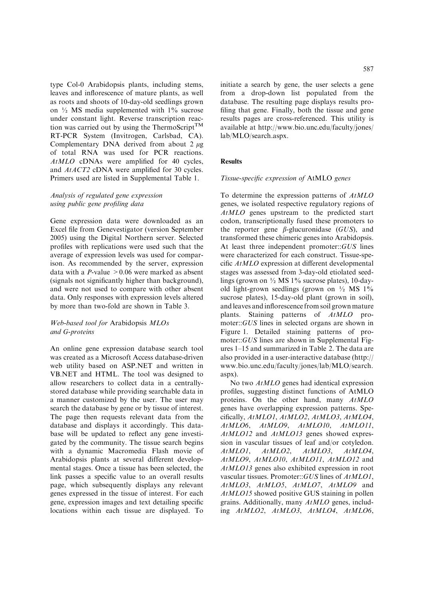type Col-0 Arabidopsis plants, including stems, leaves and inflorescence of mature plants, as well as roots and shoots of 10-day-old seedlings grown on  $\frac{1}{2}$  MS media supplemented with  $1\%$  sucrose under constant light. Reverse transcription reaction was carried out by using the ThermoScript<sup>TM</sup> RT-PCR System (Invitrogen, Carlsbad, CA). Complementary DNA derived from about  $2 \mu$ g of total RNA was used for PCR reactions. AtMLO cDNAs were amplified for 40 cycles, and AtACT2 cDNA were amplified for 30 cycles. Primers used are listed in Supplemental Table 1.

### Analysis of regulated gene expression using public gene profiling data

Gene expression data were downloaded as an Excel file from Genevestigator (version September 2005) using the Digital Northern server. Selected profiles with replications were used such that the average of expression levels was used for comparison. As recommended by the server, expression data with a *P*-value  $> 0.06$  were marked as absent (signals not significantly higher than background), and were not used to compare with other absent data. Only responses with expression levels altered by more than two-fold are shown in Table 3.

# Web-based tool for Arabidopsis MLOs and G-proteins

An online gene expression database search tool was created as a Microsoft Access database-driven web utility based on ASP.NET and written in VB.NET and HTML. The tool was designed to allow researchers to collect data in a centrallystored database while providing searchable data in a manner customized by the user. The user may search the database by gene or by tissue of interest. The page then requests relevant data from the database and displays it accordingly. This database will be updated to reflect any gene investigated by the community. The tissue search begins with a dynamic Macromedia Flash movie of Arabidopsis plants at several different developmental stages. Once a tissue has been selected, the link passes a specific value to an overall results page, which subsequently displays any relevant genes expressed in the tissue of interest. For each gene, expression images and text detailing specific locations within each tissue are displayed. To

database. The resulting page displays results profiling that gene. Finally, both the tissue and gene results pages are cross-referenced. This utility is available at http://www.bio.unc.edu/faculty/jones/ lab/MLO/search.aspx.

# Results

#### Tissue-specific expression of AtMLO genes

To determine the expression patterns of AtMLO genes, we isolated respective regulatory regions of AtMLO genes upstream to the predicted start codon, transcriptionally fused these promoters to the reporter gene  $\beta$ -glucuronidase (GUS), and transformed these chimeric genes into Arabidopsis. At least three independent promoter::GUS lines were characterized for each construct. Tissue-specific  $AtMLO$  expression at different developmental stages was assessed from 3-day-old etiolated seedlings (grown on ½ MS 1% sucrose plates), 10-dayold light-grown seedlings (grown on  $\frac{1}{2}$  MS 1%) sucrose plates), 15-day-old plant (grown in soil), and leaves and inflorescence from soil grown mature plants. Staining patterns of AtMLO promoter::GUS lines in selected organs are shown in Figure 1. Detailed staining patterns of promoter::GUS lines are shown in Supplemental Figures 1–15 and summarized in Table 2. The data are also provided in a user-interactive database (http:// www.bio.unc.edu/faculty/jones/lab/MLO/search. aspx).

No two *AtMLO* genes had identical expression profiles, suggesting distinct functions of AtMLO proteins. On the other hand, many AtMLO genes have overlapping expression patterns. Specifically, AtMLO1, AtMLO2, AtMLO3, AtMLO4, AtMLO6, AtMLO9, AtMLO10, AtMLO11, AtMLO12 and AtMLO13 genes showed expression in vascular tissues of leaf and/or cotyledon. AtMLO1, AtMLO2, AtMLO3, AtMLO4, AtMLO9, AtMLO10, AtMLO11, AtMLO12 and AtMLO13 genes also exhibited expression in root vascular tissues. Promoter::GUS lines of AtMLO1, AtMLO3, AtMLO5, AtMLO7, AtMLO9 and AtMLO15 showed positive GUS staining in pollen grains. Additionally, many AtMLO genes, including AtMLO2, AtMLO3, AtMLO4, AtMLO6,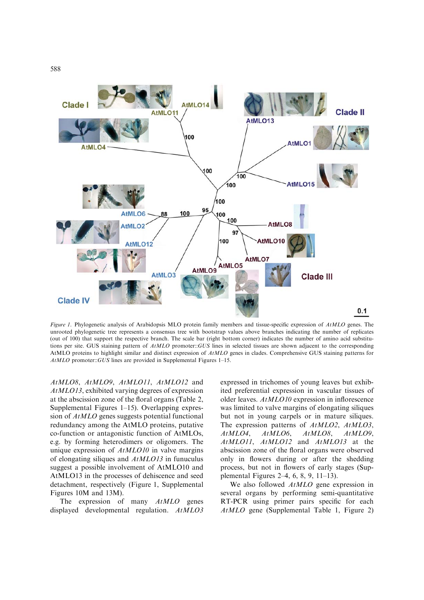

Figure 1. Phylogenetic analysis of Arabidopsis MLO protein family members and tissue-specific expression of AtMLO genes. The unrooted phylogenetic tree represents a consensus tree with bootstrap values above branches indicating the number of replicates (out of 100) that support the respective branch. The scale bar (right bottom corner) indicates the number of amino acid substitutions per site. GUS staining pattern of  $AtMLO$  promoter::GUS lines in selected tissues are shown adjacent to the corresponding AtMLO proteins to highlight similar and distinct expression of AtMLO genes in clades. Comprehensive GUS staining patterns for AtMLO promoter::GUS lines are provided in Supplemental Figures 1–15.

AtMLO8, AtMLO9, AtMLO11, AtMLO12 and AtMLO13, exhibited varying degrees of expression at the abscission zone of the floral organs (Table 2, Supplemental Figures 1–15). Overlapping expression of AtMLO genes suggests potential functional redundancy among the AtMLO proteins, putative co-function or antagonistic function of AtMLOs, e.g. by forming heterodimers or oligomers. The unique expression of AtMLO10 in valve margins of elongating siliques and AtMLO13 in funuculus suggest a possible involvement of AtMLO10 and AtMLO13 in the processes of dehiscence and seed detachment, respectively (Figure 1, Supplemental Figures 10M and 13M).

The expression of many AtMLO genes displayed developmental regulation.  $AtMLO3$  expressed in trichomes of young leaves but exhibited preferential expression in vascular tissues of older leaves. AtMLO10 expression in inflorescence was limited to valve margins of elongating siliques but not in young carpels or in mature siliques. The expression patterns of AtMLO2, AtMLO3, AtMLO4, AtMLO6, AtMLO8, AtMLO9, AtMLO11, AtMLO12 and AtMLO13 at the abscission zone of the floral organs were observed only in flowers during or after the shedding process, but not in flowers of early stages (Supplemental Figures 2–4, 6, 8, 9, 11–13).

We also followed  $AtMLO$  gene expression in several organs by performing semi-quantitative RT-PCR using primer pairs specific for each AtMLO gene (Supplemental Table 1, Figure 2)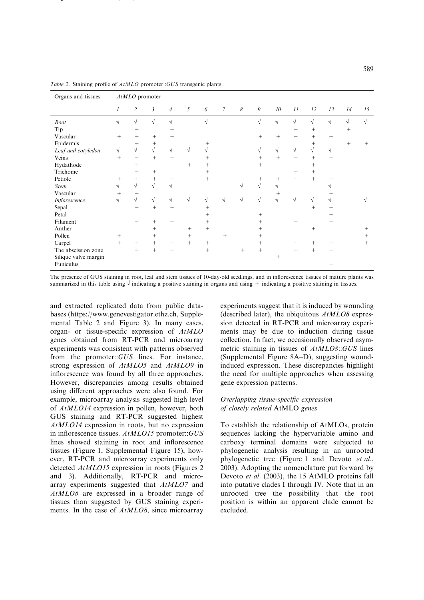| Organs and tissues   |           | AtMLO promoter  |                  |                          |                 |                 |                |                       |            |            |            |        |            |            |        |
|----------------------|-----------|-----------------|------------------|--------------------------|-----------------|-----------------|----------------|-----------------------|------------|------------|------------|--------|------------|------------|--------|
|                      | 1         | $\overline{c}$  | 3                | $\overline{\mathcal{A}}$ | 5               | 6               | $\overline{7}$ | $\boldsymbol{\delta}$ | 9          | 10         | 11         | 12     | 13         | 14         | 15     |
| Root                 |           | $\sqrt{}$       | $\sqrt{}$        | $\sqrt{}$                |                 | $\sqrt{ }$      |                |                       | $\sqrt{}$  | $\sqrt{ }$ | $\sqrt{}$  | V      | $\sqrt{ }$ | $\sqrt{ }$ | V      |
| Tip                  |           | $+$             |                  | $^{+}$                   |                 |                 |                |                       |            |            | $^{+}$     | $^{+}$ |            | $^+$       |        |
| Vascular             | $^{+}$    | $+$             | $+$              | $^{+}$                   |                 |                 |                |                       | $+$        | $+$        | $+$        | $^{+}$ | $+$        |            |        |
| Epidermis            |           | $^{+}$          | $^{+}$           |                          |                 | $^{+}$          |                |                       |            |            |            | $^{+}$ |            | $^{+}$     | $^{+}$ |
| Leaf and cotyledon   | $\sqrt{}$ | $\sqrt{2}$      | $\sqrt{ }$       | $\sqrt{}$                | $\sqrt{}$       | $\sqrt{}$       |                |                       | $\sqrt{ }$ | $\sqrt{}$  | $\sqrt{ }$ | V      | V          |            |        |
| Veins                | $^{+}$    | $+$             | $+$              | $^{+}$                   |                 | $^{+}$          |                |                       | $^{+}$     | $+$        | $+$        | $^{+}$ | $^{+}$     |            |        |
| Hydathode            |           | $+$             |                  |                          | $^{+}$          | $^+$            |                |                       | $^{+}$     |            |            | $^{+}$ |            |            |        |
| Trichome             |           | $^{+}$          | $^{+}$           |                          |                 | $^{+}$          |                |                       |            |            | $^{+}$     | $^{+}$ |            |            |        |
| Petiole              | $^+$      | $^{+}$          | $\! +$           | $^+$                     |                 | $\! + \!\!\!\!$ |                |                       | $^+$       | $^+$       | $+$        | $^{+}$ | $^+$       |            |        |
| <b>Stem</b>          | $\sqrt{}$ | $\sqrt{}$       | $\sqrt{ }$       | $\sqrt{ }$               |                 |                 |                | $\sqrt{}$             | $\sqrt{ }$ | $\sqrt{ }$ |            |        | V          |            |        |
| Vascular             | $^{+}$    | $^{+}$          |                  |                          |                 |                 |                |                       |            | $^+$       |            |        |            |            |        |
| Inflorescence        | √         | $\sqrt{}$       | $\sqrt{}$        | $\sqrt{}$                | $\sqrt{}$       | $\sqrt{}$       | $\sqrt{ }$     | $\sqrt{ }$            | $\sqrt{}$  | $\sqrt{ }$ | V          | V      | V          |            |        |
| Sepal                |           | $+$             | $+$              | $^{+}$                   |                 | $^{+}$          |                |                       |            |            |            | $^{+}$ | $^{+}$     |            |        |
| Petal                |           |                 |                  |                          |                 | $^{+}$          |                |                       | $^{+}$     |            |            |        | $^{+}$     |            |        |
| Filament             |           | $+$             | $+$              | $+$                      |                 | $^{+}$          |                |                       | $^{+}$     |            | $+$        |        | $+$        |            |        |
| Anther               |           |                 | $^{+}$           |                          | $+$             |                 |                |                       | $^{+}$     |            |            | $^{+}$ |            |            | $^{+}$ |
| Pollen               | $^{+}$    |                 | $^{+}$           |                          | $+$             |                 | $+$            |                       | $^{+}$     |            |            |        |            |            | $^{+}$ |
| Carpel               | $^{+}$    | $\! + \!\!\!\!$ | $\boldsymbol{+}$ | $\! + \!\!\!\!$          | $\! + \!\!\!\!$ |                 |                |                       | $^{+}$     |            | $^{+}$     | $^+$   | $^{+}$     |            | $^{+}$ |
| The abscission zone  |           | $+$             | $\boldsymbol{+}$ | $^{+}$                   |                 |                 |                | $+$                   | $^{+}$     |            | $+$        | $+$    | $^{+}$     |            |        |
| Silique valve margin |           |                 |                  |                          |                 |                 |                |                       |            | $^{+}$     |            |        |            |            |        |
| Funiculus            |           |                 |                  |                          |                 |                 |                |                       |            |            |            |        | $^{+}$     |            |        |

Table 2. Staining profile of  $AtMLO$  promoter::GUS transgenic plants.

 $\sim$  () and () and () are  $\sim$  () and () are  $\sim$  () and () are  $\sim$  () and () are  $\sim$  () and () are  $\sim$  () and () are  $\sim$  () and () are  $\sim$  () and () are  $\sim$  () and () are  $\sim$  () and () are  $\sim$  () and () are  $\sim$ 

The presence of GUS staining in root, leaf and stem tissues of 10-day-old seedlings, and in inflorescence tissues of mature plants was summarized in this table using  $\sqrt{ }$  indicating a positive staining in organs and using + indicating a positive staining in tissues.

and extracted replicated data from public databases (https://www.genevestigator.ethz.ch, Supplemental Table 2 and Figure 3). In many cases, organ- or tissue-specific expression of AtMLO genes obtained from RT-PCR and microarray experiments was consistent with patterns observed from the promoter::GUS lines. For instance, strong expression of AtMLO5 and AtMLO9 in inflorescence was found by all three approaches. However, discrepancies among results obtained using different approaches were also found. For example, microarray analysis suggested high level of AtMLO14 expression in pollen, however, both GUS staining and RT-PCR suggested highest AtMLO14 expression in roots, but no expression in inflorescence tissues. AtMLO15 promoter::GUS lines showed staining in root and inflorescence tissues (Figure 1, Supplemental Figure 15), however, RT-PCR and microarray experiments only detected AtMLO15 expression in roots (Figures 2 and 3). Additionally, RT-PCR and microarray experiments suggested that AtMLO7 and AtMLO8 are expressed in a broader range of tissues than suggested by GUS staining experiments. In the case of AtMLO8, since microarray

experiments suggest that it is induced by wounding (described later), the ubiquitous  $AtMLO8$  expression detected in RT-PCR and microarray experiments may be due to induction during tissue collection. In fact, we occasionally observed asymmetric staining in tissues of AtMLO8::GUS lines (Supplemental Figure 8A–D), suggesting woundinduced expression. These discrepancies highlight the need for multiple approaches when assessing gene expression patterns.

#### Overlapping tissue-specific expression of closely related AtMLO genes

To establish the relationship of AtMLOs, protein sequences lacking the hypervariable amino and carboxy terminal domains were subjected to phylogenetic analysis resulting in an unrooted phylogenetic tree (Figure 1 and Devoto et al., 2003). Adopting the nomenclature put forward by Devoto et al. (2003), the 15 AtMLO proteins fall into putative clades I through IV. Note that in an unrooted tree the possibility that the root position is within an apparent clade cannot be excluded.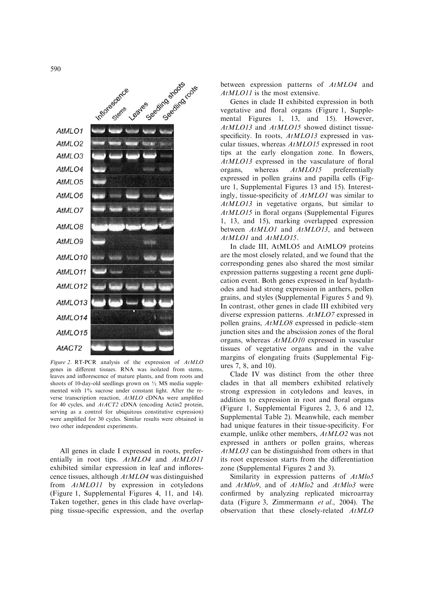Seeding spots to te AtMLO1 AtMLO<sub>2</sub> AtMLO<sub>3</sub> AtMLO4 AtMLO5 AtMLO6 AtMLO7 AtMLO8 AtMLO9 AtMLO10 AtMLO11 AtMLO12 AtMLO13 AtMLO14 AtMLO15 AtACT2

Figure 2. RT-PCR analysis of the expression of AtMLO genes in different tissues. RNA was isolated from stems, leaves and inflorescence of mature plants, and from roots and shoots of 10-day-old seedlings grown on  $\frac{1}{2}$  MS media supplemented with  $1\%$  sucrose under constant light. After the reverse transcription reaction, AtMLO cDNAs were amplified for 40 cycles, and AtACT2 cDNA (encoding Actin2 protein, serving as a control for ubiquitous constitutive expression) were amplified for 30 cycles. Similar results were obtained in two other independent experiments.

All genes in clade I expressed in roots, preferentially in root tips.  $AtMLO4$  and  $AtMLO11$ exhibited similar expression in leaf and inflorescence tissues, although AtMLO4 was distinguished from AtMLO11 by expression in cotyledons (Figure 1, Supplemental Figures 4, 11, and 14). Taken together, genes in this clade have overlapping tissue-specific expression, and the overlap between expression patterns of AtMLO4 and AtMLO11 is the most extensive.

Genes in clade II exhibited expression in both vegetative and floral organs (Figure 1, Supplemental Figures 1, 13, and 15). However, AtMLO13 and AtMLO15 showed distinct tissuespecificity. In roots,  $AtMLO13$  expressed in vascular tissues, whereas AtMLO15 expressed in root tips at the early elongation zone. In flowers, AtMLO13 expressed in the vasculature of floral organs, whereas AtMLO15 preferentially expressed in pollen grains and papilla cells (Figure 1, Supplemental Figures 13 and 15). Interestingly, tissue-specificity of AtMLO1 was similar to AtMLO13 in vegetative organs, but similar to AtMLO15 in floral organs (Supplemental Figures 1, 13, and 15), marking overlapped expression between AtMLO1 and AtMLO13, and between AtMLO1 and AtMLO15.

In clade III, AtMLO5 and AtMLO9 proteins are the most closely related, and we found that the corresponding genes also shared the most similar expression patterns suggesting a recent gene duplication event. Both genes expressed in leaf hydathodes and had strong expression in anthers, pollen grains, and styles (Supplemental Figures 5 and 9). In contrast, other genes in clade III exhibited very diverse expression patterns. AtMLO7 expressed in pollen grains, AtMLO8 expressed in pedicle–stem junction sites and the abscission zones of the floral organs, whereas AtMLO10 expressed in vascular tissues of vegetative organs and in the valve margins of elongating fruits (Supplemental Figures 7, 8, and 10).

Clade IV was distinct from the other three clades in that all members exhibited relatively strong expression in cotyledons and leaves, in addition to expression in root and floral organs (Figure 1, Supplemental Figures 2, 3, 6 and 12, Supplemental Table 2). Meanwhile, each member had unique features in their tissue-specificity. For example, unlike other members, AtMLO2 was not expressed in anthers or pollen grains, whereas AtMLO3 can be distinguished from others in that its root expression starts from the differentiation zone (Supplemental Figures 2 and 3).

Similarity in expression patterns of  $AtMlo5$ and AtMlo9, and of AtMlo2 and AtMlo3 were confirmed by analyzing replicated microarray data (Figure 3, Zimmermann et al., 2004). The observation that these closely-related AtMLO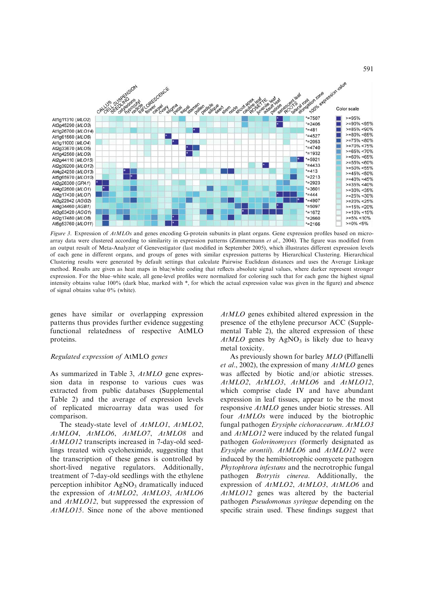

Figure 3. Expression of AtMLOs and genes encoding G-protein subunits in plant organs. Gene expression profiles based on microarray data were clustered according to similarity in expression patterns (Zimmermann et al., 2004). The figure was modified from an output result of Meta-Analyzer of Genevestigator (last modified in September 2005), which illustrates different expression levels of each gene in different organs, and groups of genes with similar expression patterns by Hierarchical Clustering. Hierarchical Clustering results were generated by default settings that calculate Pairwise Euclidean distances and uses the Average Linkage method. Results are given as heat maps in blue/white coding that reflects absolute signal values, where darker represent stronger expression. For the blue–white scale, all gene-level profiles were normalized for coloring such that for each gene the highest signal intensity obtains value 100% (dark blue, marked with \*, for which the actual expression value was given in the figure) and absence of signal obtains value 0% (white).

genes have similar or overlapping expression patterns thus provides further evidence suggesting functional relatedness of respective AtMLO proteins.

# Regulated expression of AtMLO genes

As summarized in Table 3, AtMLO gene expression data in response to various cues was extracted from public databases (Supplemental Table 2) and the average of expression levels of replicated microarray data was used for comparison.

The steady-state level of AtMLO1, AtMLO2, AtMLO4, AtMLO6, AtMLO7, AtMLO8 and AtMLO12 transcripts increased in 7-day-old seedlings treated with cycloheximide, suggesting that the transcription of these genes is controlled by short-lived negative regulators. Additionally, treatment of 7-day-old seedlings with the ethylene perception inhibitor  $AgNO<sub>3</sub>$  dramatically induced the expression of AtMLO2, AtMLO3, AtMLO6 and AtMLO12, but suppressed the expression of AtMLO15. Since none of the above mentioned

AtMLO genes exhibited altered expression in the presence of the ethylene precursor ACC (Supplemental Table 2), the altered expression of these  $AtMLO$  genes by  $AgNO<sub>3</sub>$  is likely due to heavy metal toxicity.

591

As previously shown for barley MLO (Piffanelli *et al.*, 2002), the expression of many  $AtMLO$  genes was affected by biotic and/or abiotic stresses. AtMLO2, AtMLO3, AtMLO6 and AtMLO12, which comprise clade IV and have abundant expression in leaf tissues, appear to be the most responsive AtMLO genes under biotic stresses. All four AtMLOs were induced by the biotrophic fungal pathogen Erysiphe cichoracearum. AtMLO3 and AtMLO12 were induced by the related fungal pathogen Golovinomyces (formerly designated as Erysiphe orontii). AtMLO6 and AtMLO12 were induced by the hemibiotrophic oomycete pathogen Phytophtora infestans and the necrotrophic fungal pathogen Botrytis cinerea. Additionally, the expression of AtMLO2, AtMLO3, AtMLO6 and AtMLO12 genes was altered by the bacterial pathogen Pseudomonas syringae depending on the specific strain used. These findings suggest that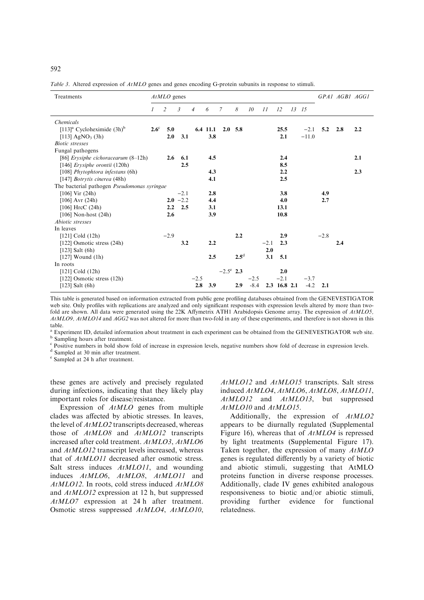Table 3. Altered expression of AtMLO genes and genes encoding G-protein subunits in response to stimuli.

| Treatments                                             |             | $AtMLO$ genes |                |                |          |                    |                |        |        |              |       |         |                | GPA1 AGB1 AGG1 |     |
|--------------------------------------------------------|-------------|---------------|----------------|----------------|----------|--------------------|----------------|--------|--------|--------------|-------|---------|----------------|----------------|-----|
|                                                        | 1           | 2             | $\mathfrak{Z}$ | $\overline{4}$ | 6        | $\mathcal{I}$      | 8              | 10     | 11     | 12           | 13 15 |         |                |                |     |
| <b>Chemicals</b>                                       |             |               |                |                |          |                    |                |        |        |              |       |         |                |                |     |
| $[113]$ <sup>a</sup> Cycloheximide $(3h)$ <sup>b</sup> | $2.6^\circ$ | 5.0           |                |                | 6.4 11.1 |                    | $2.0\quad 5.8$ |        |        | 25.5         |       | $-2.1$  | $5.2\quad 2.8$ |                | 2.2 |
| [113] $AgNO_3$ (3h)                                    |             | 2.0           | 3.1            |                | 3.8      |                    |                |        |        | 2.1          |       | $-11.0$ |                |                |     |
| <b>Biotic</b> stresses                                 |             |               |                |                |          |                    |                |        |        |              |       |         |                |                |     |
| Fungal pathogens                                       |             |               |                |                |          |                    |                |        |        |              |       |         |                |                |     |
| [86] Erysiphe cichoracearum (8-12h)                    |             | 2.6           | 6.1            |                | 4.5      |                    |                |        |        | 2.4          |       |         |                |                | 2.1 |
| [146] Erysiphe orontii (120h)                          |             |               | 2.5            |                |          |                    |                |        |        | 8.5          |       |         |                |                |     |
| [108] Phytophtora infestans (6h)                       |             |               |                |                | 4.3      |                    |                |        |        | 2.2          |       |         |                |                | 2.3 |
| [147] <i>Botrytis cinerea</i> (48h)                    |             |               |                |                | 4.1      |                    |                |        |        | 2.5          |       |         |                |                |     |
| The bacterial pathogen <i>Pseudomonas syringae</i>     |             |               |                |                |          |                    |                |        |        |              |       |         |                |                |     |
| $[106]$ Vir $(24h)$                                    |             |               | $-2.1$         |                | 2.8      |                    |                |        |        | 3.8          |       |         | 4.9            |                |     |
| $[106]$ Avr $(24h)$                                    |             |               | $2.0 -2.2$     |                | 4.4      |                    |                |        |        | 4.0          |       |         | 2.7            |                |     |
| $[106]$ HrcC $(24h)$                                   |             | 2.2           | 2.5            |                | 3.1      |                    |                |        |        | 13.1         |       |         |                |                |     |
| $[106]$ Non-host $(24h)$                               |             | 2.6           |                |                | 3.9      |                    |                |        |        | 10.8         |       |         |                |                |     |
| Abiotic stresses                                       |             |               |                |                |          |                    |                |        |        |              |       |         |                |                |     |
| In leaves                                              |             |               |                |                |          |                    |                |        |        |              |       |         |                |                |     |
| $[121]$ Cold $(12h)$                                   |             | $-2.9$        |                |                |          |                    | 2.2            |        |        | 2.9          |       |         | $-2.8$         |                |     |
| [122] Osmotic stress (24h)                             |             |               | 3.2            |                | 2.2      |                    |                |        | $-2.1$ | 2.3          |       |         |                | 2.4            |     |
| $[123]$ Salt $(6h)$                                    |             |               |                |                |          |                    |                |        | 2.0    |              |       |         |                |                |     |
| $[127]$ Wound $(1h)$                                   |             |               |                |                | 2.5      |                    | $2.5^{\rm d}$  |        | 3.1    | 5.1          |       |         |                |                |     |
| In roots                                               |             |               |                |                |          |                    |                |        |        |              |       |         |                |                |     |
| $[121]$ Cold $(12h)$                                   |             |               |                |                |          | $-2.5^{\circ}$ 2.3 |                |        |        | 2.0          |       |         |                |                |     |
| [122] Osmotic stress (12h)                             |             |               |                | $-2.5$         |          |                    |                | $-2.5$ |        | $-2.1$       |       | $-3.7$  |                |                |     |
| $[123]$ Salt $(6h)$                                    |             |               |                | 2.8            | 3.9      |                    | 2.9            | $-8.4$ |        | 2.3 16.8 2.1 |       | $-4.2$  | 2.1            |                |     |

This table is generated based on information extracted from public gene profiling databases obtained from the GENEVESTIGATOR web site. Only profiles with replications are analyzed and only significant responses with expression levels altered by more than twofold are shown. All data were generated using the 22K Affymetrix ATH1 Arabidopsis Genome array. The expression of  $AtMLO5$ , AtMLO9, AtMLO14 and AGG2 was not altered for more than two-fold in any of these experiments, and therefore is not shown in this table.

<sup>a</sup> Experiment ID, detailed information about treatment in each experiment can be obtained from the GENEVESTIGATOR web site.  $\frac{b}{b}$  Sampling hours after treatment.

 $\degree$  Positive numbers in bold show fold of increase in expression levels, negative numbers show fold of decrease in expression levels.  $\degree$  Sampled at 30 min after treatment.

 $e$  Sampled at 24 h after treatment.

these genes are actively and precisely regulated during infections, indicating that they likely play important roles for disease/resistance.

Expression of AtMLO genes from multiple clades was affected by abiotic stresses. In leaves, the level of  $AtMLO2$  transcripts decreased, whereas those of AtMLO8 and AtMLO12 transcripts increased after cold treatment. AtMLO3, AtMLO6 and AtMLO12 transcript levels increased, whereas that of AtMLO11 decreased after osmotic stress. Salt stress induces  $AtMLO11$ , and wounding induces AtMLO6, AtMLO8, AtMLO11 and AtMLO12. In roots, cold stress induced AtMLO8 and AtMLO12 expression at 12 h, but suppressed AtMLO7 expression at 24 h after treatment. Osmotic stress suppressed AtMLO4, AtMLO10, AtMLO12 and AtMLO15 transcripts. Salt stress induced AtMLO4, AtMLO6, AtMLO8, AtMLO11, AtMLO12 and AtMLO13, but suppressed AtMLO10 and AtMLO15.

Additionally, the expression of AtMLO2 appears to be diurnally regulated (Supplemental Figure 16), whereas that of AtMLO4 is repressed by light treatments (Supplemental Figure 17). Taken together, the expression of many AtMLO genes is regulated differently by a variety of biotic and abiotic stimuli, suggesting that AtMLO proteins function in diverse response processes. Additionally, clade IV genes exhibited analogous responsiveness to biotic and/or abiotic stimuli, providing further evidence for functional relatedness.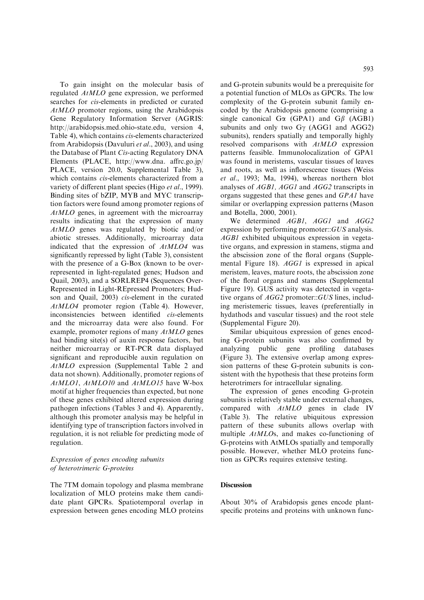To gain insight on the molecular basis of regulated AtMLO gene expression, we performed searches for cis-elements in predicted or curated AtMLO promoter regions, using the Arabidopsis Gene Regulatory Information Server (AGRIS: http://arabidopsis.med.ohio-state.edu, version 4, Table 4), which contains cis-elements characterized from Arabidopsis (Davuluri et al., 2003), and using the Database of Plant Cis-acting Regulatory DNA Elements (PLACE, http://www.dna. affrc.go.jp/ PLACE, version 20.0, Supplemental Table 3), which contains *cis*-elements characterized from a variety of different plant species (Higo *et al.*, 1999). Binding sites of bZIP, MYB and MYC transcription factors were found among promoter regions of AtMLO genes, in agreement with the microarray results indicating that the expression of many AtMLO genes was regulated by biotic and/or abiotic stresses. Additionally, microarray data indicated that the expression of AtMLO4 was significantly repressed by light (Table 3), consistent with the presence of a G-Box (known to be overrepresented in light-regulated genes; Hudson and Quail, 2003), and a SORLREP4 (Sequences Over-Represented in Light-REpressed Promoters; Hudson and Quail, 2003) cis-element in the curated AtMLO4 promoter region (Table 4). However, inconsistencies between identified cis-elements and the microarray data were also found. For example, promoter regions of many AtMLO genes had binding site(s) of auxin response factors, but neither microarray or RT-PCR data displayed significant and reproducible auxin regulation on AtMLO expression (Supplemental Table 2 and data not shown). Additionally, promoter regions of AtMLO1, AtMLO10 and AtMLO15 have W-box motif at higher frequencies than expected, but none of these genes exhibited altered expression during pathogen infections (Tables 3 and 4). Apparently, although this promoter analysis may be helpful in identifying type of transcription factors involved in regulation, it is not reliable for predicting mode of regulation.

# Expression of genes encoding subunits of heterotrimeric G-proteins

The 7TM domain topology and plasma membrane localization of MLO proteins make them candidate plant GPCRs. Spatiotemporal overlap in expression between genes encoding MLO proteins and G-protein subunits would be a prerequisite for a potential function of MLOs as GPCRs. The low complexity of the G-protein subunit family encoded by the Arabidopsis genome (comprising a single canonical G $\alpha$  (GPA1) and G $\beta$  (AGB1) subunits and only two  $G\gamma$  (AGG1 and AGG2) subunits), renders spatially and temporally highly resolved comparisons with AtMLO expression patterns feasible. Immunolocalization of GPA1 was found in meristems, vascular tissues of leaves and roots, as well as inflorescence tissues (Weiss et al., 1993; Ma, 1994), whereas northern blot analyses of AGB1, AGG1 and AGG2 transcripts in organs suggested that these genes and GPA1 have similar or overlapping expression patterns (Mason and Botella, 2000, 2001).

We determined AGB1, AGG1 and AGG2 expression by performing promoter::GUS analysis. AGB1 exhibited ubiquitous expression in vegetative organs, and expression in stamens, stigma and the abscission zone of the floral organs (Supplemental Figure 18). AGG1 is expressed in apical meristem, leaves, mature roots, the abscission zone of the floral organs and stamens (Supplemental Figure 19). GUS activity was detected in vegetative organs of AGG2 promoter::GUS lines, including meristemeric tissues, leaves (preferentially in hydathods and vascular tissues) and the root stele (Supplemental Figure 20).

Similar ubiquitous expression of genes encoding G-protein subunits was also confirmed by analyzing public gene profiling databases (Figure 3). The extensive overlap among expression patterns of these G-protein subunits is consistent with the hypothesis that these proteins form heterotrimers for intracellular signaling.

The expression of genes encoding G-protein subunits is relatively stable under external changes, compared with  $AtMLO$  genes in clade IV (Table 3). The relative ubiquitous expression pattern of these subunits allows overlap with multiple AtMLOs, and makes co-functioning of G-proteins with AtMLOs spatially and temporally possible. However, whether MLO proteins function as GPCRs requires extensive testing.

### **Discussion**

About 30% of Arabidopsis genes encode plantspecific proteins and proteins with unknown func-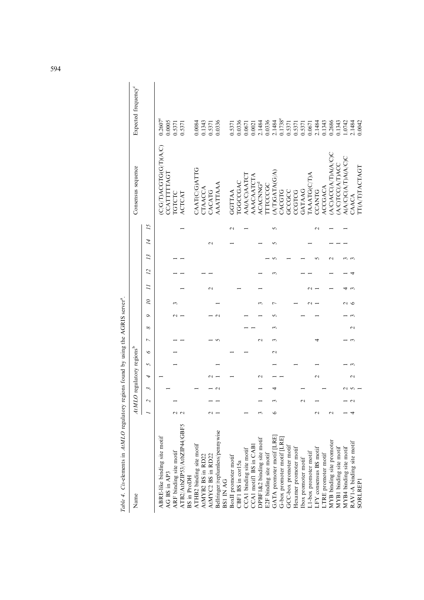| Name                                         |                          |   | AtMLO regulatory regions <sup>b</sup> |   |   |                 |                    |   |   |        |   |    |        |            | Consensus sequence    | Expected frequency <sup>c</sup> |
|----------------------------------------------|--------------------------|---|---------------------------------------|---|---|-----------------|--------------------|---|---|--------|---|----|--------|------------|-----------------------|---------------------------------|
|                                              | $\overline{\mathcal{L}}$ | Σ | 4                                     | 5 | ৩ | $\overline{ }$  | ∞                  | c | 2 | Ξ      | 2 | 13 | 14     | 15         |                       |                                 |
| ABRE-like binding site motif                 |                          |   |                                       |   |   |                 |                    |   |   |        |   |    |        |            | C/G/T)ACGTG(G/T)(A/C) | $0.2607^e$                      |
| AG BS in AP3                                 |                          |   |                                       |   |   |                 |                    |   |   |        |   |    |        |            | CATITITAGI            | 0.0005                          |
| ARF binding site motif                       |                          |   |                                       |   |   |                 |                    |   |   |        |   |    |        |            | <b>LGTCLC</b>         | 0.5371                          |
| ATB2/AtbZIP53/AtbZIP44/GBF5                  |                          |   |                                       |   |   |                 |                    |   |   |        |   |    |        |            | ACTCAT                | 0.5371                          |
| <b>BS</b> in ProDH                           |                          |   |                                       |   |   |                 |                    |   |   |        |   |    |        |            |                       |                                 |
| ATHB2 binding site motif                     |                          |   |                                       |   |   |                 |                    |   |   |        |   |    |        |            | CAAT(C/G)ATTG         | 0.0084                          |
| AtMYB2 BS in RD22                            |                          |   |                                       |   |   |                 |                    |   |   |        |   |    |        |            | TAACCA                | 0.1343                          |
| AtMYC2 BS in RD22                            |                          |   |                                       |   |   |                 |                    |   |   | $\sim$ |   |    | $\sim$ |            | CACATG                | 0.5371                          |
| Bellringer/replumless/pennywise<br>BS1 IN AG |                          |   |                                       |   |   |                 |                    |   |   |        |   |    |        |            | AAATTAAA              | 0.0336                          |
|                                              |                          |   |                                       |   |   |                 |                    |   |   |        |   |    |        |            |                       |                                 |
| BoxII promoter motif                         |                          |   |                                       |   |   |                 |                    |   |   |        |   |    |        | $\sim$     | GGTTAA                | 0.5371                          |
| CBF1 BS in cor15a                            |                          |   |                                       |   |   |                 |                    |   |   |        |   |    |        |            | <b>GGCCGAC</b>        | 0.0336                          |
| CCA1 binding site motif                      |                          |   |                                       |   |   |                 |                    |   |   |        |   |    |        |            | AA(A/C)AATCT          | 0.0671                          |
| CCA1 motif1 BS in CAB1                       |                          |   |                                       |   |   |                 |                    |   |   |        |   |    |        |            | AAACAATCTA            | 0.0021                          |
| DPBF1&2 binding site motif                   |                          |   |                                       |   |   | $\mathbf{\sim}$ |                    |   |   |        |   |    |        |            | <b>ACACNNG</b>        | 2.1484                          |
| E2F binding site motif                       |                          |   |                                       |   |   |                 |                    |   |   |        |   |    |        |            | TTCCCGC               | 0.0336                          |
| GATA promoter motif [LRE]                    |                          |   |                                       |   |   |                 |                    |   |   |        |   |    |        | $\sqrt{2}$ | A/T)GATA(G/A          | 2.1484                          |
| G-box promoter motif [LRE]                   |                          |   |                                       |   |   |                 |                    |   |   |        |   |    |        |            | <b>ACGTG</b>          | $0.1738^e$                      |
| GCC-box promoter motif                       |                          |   |                                       |   |   |                 |                    |   |   |        |   |    |        |            | GCCGCC                | 0.5371                          |
| Hexamer promoter motif                       |                          |   |                                       |   |   |                 |                    |   |   |        |   |    |        |            | COLOC                 | 0.5371                          |
| lbox promoter motif                          | $\mathbf 2$              |   |                                       |   |   |                 |                    |   |   |        |   |    |        |            | <b>GATAAG</b>         | 0.5371                          |
| L1-box promoter motif                        |                          |   |                                       |   |   |                 |                    |   |   |        |   |    |        |            | [AAATG(C)             | 0.0671                          |
| LFY consensus BS motif                       |                          |   | $\mathbf{\sim}$                       |   |   |                 |                    |   |   |        |   |    |        |            | <b>CCANTG</b>         | 2.1484                          |
| LTRE promoter motif                          |                          |   |                                       |   |   |                 |                    |   |   |        |   |    |        |            | ACCGACA               | 0.1343                          |
| MYB binding site promoter                    |                          |   |                                       |   |   |                 |                    |   |   |        |   |    |        |            | A/CACCA/TA(A/C)C      | 0.2686                          |
| MYB1 binding site motif                      |                          |   |                                       |   |   |                 |                    |   |   |        |   |    |        |            | A/C)TCC(A/T)AC        | 0.1343                          |
| MYB4 binding site motif                      |                          |   |                                       |   |   |                 |                    |   |   |        |   |    |        |            | A(A/C)C(A/T)A(A/C)C   | 1.0742                          |
| RAV1-A binding site motif                    |                          |   |                                       |   |   |                 | $\scriptstyle\sim$ |   |   |        |   |    |        |            | CAACA                 | 2.1484                          |
| <b>SORLREP1</b>                              |                          |   |                                       |   |   |                 |                    |   |   |        |   |    |        |            | <b>TI(A/T)TACTAGT</b> | 0.0042                          |

Table 4. Cis-elements in AtMLO regulatory regions found by using the AGRIS server<sup>2</sup>. Table 4. Cis-elements in  $ALMLO$  regulatory regions found by using the AGRIS server<sup>a</sup>.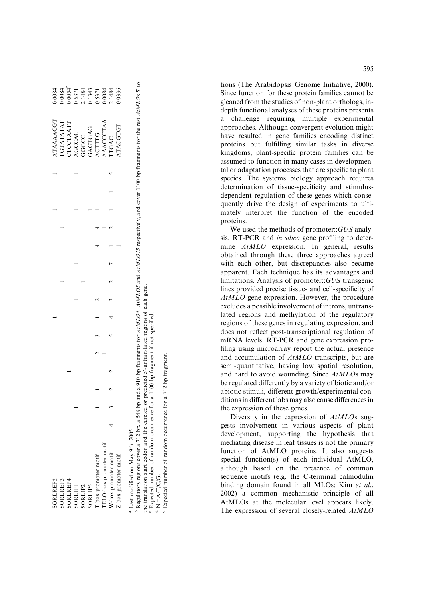| SORLREP2                                                                                                                                                                                               |  |  |  |  |  |  |  | <b>ATAAAACGT</b>    | 0.0084                                                                      |
|--------------------------------------------------------------------------------------------------------------------------------------------------------------------------------------------------------|--|--|--|--|--|--|--|---------------------|-----------------------------------------------------------------------------|
| SORLREP3                                                                                                                                                                                               |  |  |  |  |  |  |  | <b>IGTATATAT</b>    | 0.0084                                                                      |
| SORLREP4                                                                                                                                                                                               |  |  |  |  |  |  |  | TCCTAATT            |                                                                             |
| SORLIPI                                                                                                                                                                                                |  |  |  |  |  |  |  | AGCCAC              | $0.0054^{\circ}$<br>$0.5371$<br>$0.1484$<br>$0.1343$<br>$0.5371$<br>$0.084$ |
| SORLIP2                                                                                                                                                                                                |  |  |  |  |  |  |  |                     |                                                                             |
| SORLIPS                                                                                                                                                                                                |  |  |  |  |  |  |  | GGGCC<br>GAGTGAG    |                                                                             |
| I-box promoter motif                                                                                                                                                                                   |  |  |  |  |  |  |  | ACTTTG<br>AAACCCTAA |                                                                             |
| <b>IELO-box</b> promoter motif                                                                                                                                                                         |  |  |  |  |  |  |  |                     |                                                                             |
| W-box promoter motif                                                                                                                                                                                   |  |  |  |  |  |  |  | <b>TGAC</b>         | 2.1484                                                                      |
| Z-box promoter motif                                                                                                                                                                                   |  |  |  |  |  |  |  | <b>ATACGTGT</b>     | 0.336                                                                       |
| Regulatory regions cover a 712 bp. a 548 bp and a 910 bp fragments for AtMLO4. AtMLO5 and AtMLO15 respectively. and cover 1100 bp fragments for the rest AtMLOs 5 to<br>ast modified on May 9th, 2005. |  |  |  |  |  |  |  |                     |                                                                             |

PRegulatory regions cover a 712 bp, a 548 bp and a 910 bp fragments for AtMLO4, AtMLO4 and AtMLO15 respectively, and cover 1100 bp fragments for the rest AtMLOs 5<sup>t</sup> to gene. the translation start codon and the cureted or predicted 5¢-untranslated regions of each gene.  $\ldots$  and  $\ldots$  are continuous contract to the contract of predicted S-untranslated regions of each  $\alpha$ ö op, a sʻ cegulatory regions cover a /12 b<br>P

 $\epsilon$  Expected number of random occurrence for a 1100 bp fragment if not specified. Expected number of random occurrence for a 1100 bp fragment if not specified.

d

 $N = A/T/C/G$ .  $N=AT/C$ 

**a**d Expected number of random occurrence for a 712 e

 Expected number of random occurrence for a 712 bp fragment. fragment tions (The Arabidopsis Genome Initiative, 2000). Since function for these protein families cannot be gleaned from the studies of non-plant orthologs, indepth functional analyses of these proteins presents a challenge requiring multiple experimental approaches. Although convergent evolution might have resulted in gene families encoding distinct proteins but fulfilling similar tasks in diverse kingdoms, plant-specific protein families can be assumed to function in many cases in developmental or adaptation processes that are specific to plant species. The systems biology approach requires determination of tissue-specificity and stimulusdependent regulation of these genes which consequently drive the design of experiments to ultimately interpret the function of the encoded proteins.

We used the methods of promoter::GUS analysis, RT-PCR and in silico gene profiling to determine AtMLO expression. In general, results obtained through these three approaches agreed with each other, but discrepancies also became apparent. Each technique has its advantages and limitations. Analysis of promoter::GUS transgenic lines provided precise tissue- and cell-specificity of AtMLO gene expression. However, the procedure excludes a possible involvement of introns, untranslated regions and methylation of the regulatory regions of these genes in regulating expression, and does not reflect post-transcriptional regulation of mRNA levels. RT-PCR and gene expression profiling using microarray report the actual presence and accumulation of AtMLO transcripts, but are semi-quantitative, having low spatial resolution, and hard to avoid wounding. Since AtMLOs may be regulated differently by a variety of biotic and/or abiotic stimuli, different growth/experimental conditions in different labs may also cause differences in the expression of these genes.

Diversity in the expression of AtMLOs suggests involvement in various aspects of plant development, supporting the hypothesis that mediating disease in leaf tissues is not the primary function of AtMLO proteins. It also suggests special function(s) of each individual AtMLO, although based on the presence of common sequence motifs (e.g. the C-terminal calmodulin binding domain found in all MLOs; Kim et al., 2002) a common mechanistic principle of all AtMLOs at the molecular level appears likely. The expression of several closely-related AtMLO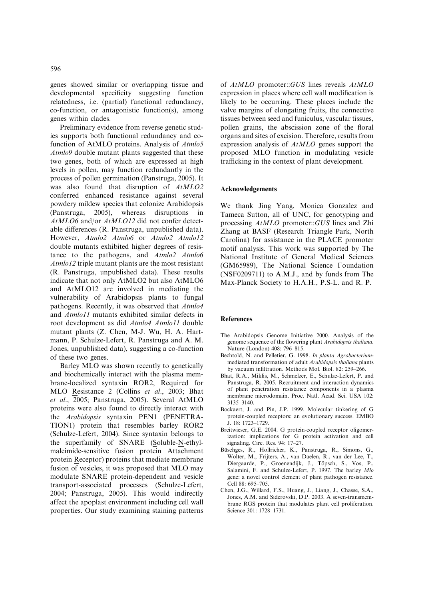genes showed similar or overlapping tissue and developmental specificity suggesting function relatedness, i.e. (partial) functional redundancy, co-function, or antagonistic function(s), among genes within clades.

Preliminary evidence from reverse genetic studies supports both functional redundancy and cofunction of AtMLO proteins. Analysis of Atmlo5 Atmlo9 double mutant plants suggested that these two genes, both of which are expressed at high levels in pollen, may function redundantly in the process of pollen germination (Panstruga, 2005). It was also found that disruption of AtMLO2 conferred enhanced resistance against several powdery mildew species that colonize Arabidopsis (Panstruga, 2005), whereas disruptions in AtMLO6 and/or AtMLO12 did not confer detectable differences (R. Panstruga, unpublished data). However, Atmlo2 Atmlo6 or Atmlo2 Atmlo12 double mutants exhibited higher degrees of resistance to the pathogens, and Atmlo2 Atmlo6 Atmlo12 triple mutant plants are the most resistant (R. Panstruga, unpublished data). These results indicate that not only AtMLO2 but also AtMLO6 and AtMLO12 are involved in mediating the vulnerability of Arabidopsis plants to fungal pathogens. Recently, it was observed that Atmlo4 and Atmlo11 mutants exhibited similar defects in root development as did Atmlo4 Atmlo11 double mutant plants (Z. Chen, M-J. Wu, H. A. Hartmann, P. Schulze-Lefert, R. Panstruga and A. M. Jones, unpublished data), suggesting a co-function of these two genes.

Barley MLO was shown recently to genetically and biochemically interact with the plasma membrane-localized syntaxin ROR2, Required for MLO Resistance 2 (Collins et al., 2003; Bhat et al., 2005; Panstruga, 2005). Several AtMLO proteins were also found to directly interact with the Arabidopsis syntaxin PEN1 (PENETRA-TION1) protein that resembles barley ROR2 (Schulze-Lefert, 2004). Since syntaxin belongs to the superfamily of SNARE (Soluble-N-ethylmaleimide-sensitive fusion protein Attachment protein Receptor) proteins that mediate membrane fusion of vesicles, it was proposed that MLO may modulate SNARE protein-dependent and vesicle transport-associated processes (Schulze-Lefert, 2004; Panstruga, 2005). This would indirectly affect the apoplast environment including cell wall properties. Our study examining staining patterns

of AtMLO promoter::GUS lines reveals AtMLO expression in places where cell wall modification is likely to be occurring. These places include the valve margins of elongating fruits, the connective tissues between seed and funiculus, vascular tissues, pollen grains, the abscission zone of the floral organs and sites of excision. Therefore, results from expression analysis of AtMLO genes support the proposed MLO function in modulating vesicle trafficking in the context of plant development.

#### Acknowledgements

We thank Jing Yang, Monica Gonzalez and Tameca Sutton, all of UNC, for genotyping and processing AtMLO promoter::GUS lines and Zhi Zhang at BASF (Research Triangle Park, North Carolina) for assistance in the PLACE promoter motif analysis. This work was supported by The National Institute of General Medical Sciences (GM65989), The National Science Foundation (NSF0209711) to A.M.J., and by funds from The Max-Planck Society to H.A.H., P.S-L. and R. P.

#### References

- The Arabidopsis Genome Initiative 2000. Analysis of the genome sequence of the flowering plant Arabidopsis thaliana. Nature (London) 408: 796–815.
- Bechtold, N. and Pelletier, G. 1998. In planta Agrobacteriummediated transformation of adult Arabidopsis thaliana plants by vacuum infiltration. Methods Mol. Biol. 82: 259–266.
- Bhat, R.A., Miklis, M., Schmelzer, E., Schulze-Lefert, P. and Panstruga, R. 2005. Recruitment and interaction dynamics of plant penetration resistance components in a plasma membrane microdomain. Proc. Natl. Acad. Sci. USA 102: 3135–3140.
- Bockaert, J. and Pin, J.P. 1999. Molecular tinkering of G protein-coupled receptors: an evolutionary success. EMBO J. 18: 1723–1729.
- Breitwieser, G.E. 2004. G protein-coupled receptor oligomerization: implications for G protein activation and cell signaling. Circ. Res. 94: 17–27.
- Büschges, R., Hollricher, K., Panstruga, R., Simons, G., Wolter, M., Frijters, A., van Daelen, R., van der Lee, T., Diergaarde, P., Groenendijk, J., Töpsch, S., Vos, P., Salamini, F. and Schulze-Lefert, P. 1997. The barley Mlo gene: a novel control element of plant pathogen resistance. Cell 88: 695–705.
- Chen, J.G., Willard, F.S., Huang, J., Liang, J., Chasse, S.A., Jones, A.M. and Siderovski, D.P. 2003. A seven-transmembrane RGS protein that modulates plant cell proliferation. Science 301: 1728–1731.